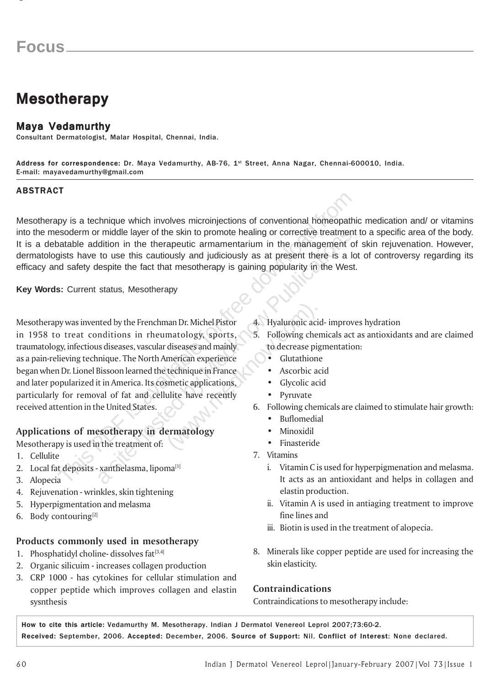# **Mesotherapy**

### Maya Vedamurthy

Consultant Dermatologist, Malar Hospital, Chennai, India.

Address for correspondence: Dr. Maya Vedamurthy, AB-76, 1st Street, Anna Nagar, Chennai-600010, India. E-mail: mayavedamurthy@gmail.com

#### ABSTRACT

Mesotherapy is a technique which involves microinjections of conventional homeopathic medication and/ or vitamins into the mesoderm or middle layer of the skin to promote healing or corrective treatment to a specific area of the body. It is a debatable addition in the therapeutic armamentarium in the management of skin rejuvenation. However, dermatologists have to use this cautiously and judiciously as at present there is a lot of controversy regarding its efficacy and safety despite the fact that mesotherapy is gaining popularity in the West.

**Key Words:** Current status, Mesotherapy

The state of the state is available and the state of the state of the state of the state of the state of the state of the state of the state of the state of the state of the state of desired and stately despite the fact th France II and the treatment of:<br>
a situations in the therapeutic armamentarium in the management compare to use this cautiously and judiciously as at present there is a lespite the fact that mesotherapy is gaining populari Michel Pistor and Dr. Michel Pistor and Microsoftend<br>
S. Following chem<br>
diseases and mainly<br>
merican experience<br>
technique in France (Contrathione experience of the Surface of Ascorbic acide<br>
simetic applications, Clycoli Mesotherapy was invented by the Frenchman Dr. Michel Pistor 4. Hyaluronic acid- improves hydration in 1958 to treat conditions in rheumatology, sports, 5. Following chemicals act as antioxidants and are claimed traumatology, infectious diseases, vascular diseases and mainly to decrease pigmentation: as a pain-relieving technique. The North American experience **•** Glutathione began when Dr. Lionel Bissoon learned the technique in France • Ascorbic acid and later popularized it in America. Its cosmetic applications, **•** Glycolic acid particularly for removal of fat and cellulite have recently • Pyruvate received attention in the United States.  $\sim$  6. Following chemicals are claimed to stimulate hair growth:

#### Applications of mesotherapy in dermatology • Minoxidil

Mesotherapy is used in the treatment of: • • Finasteride • Finasteride

- 1.
- 2.
- 3.
- 4. Rejuvenation wrinkles, skin tightening
- 5. Hyperpigmentation and melasma
- 6. Body contouring $[2]$

#### Products commonly used in mesotherapy

- 1. Phosphatidyl choline- dissolves fat $[3,4]$
- 2. Organic silicuim increases collagen production
- 3. CRP 1000 has cytokines for cellular stimulation and copper peptide which improves collagen and elastin sysnthesis
- 
- -
	-
	-
	-
- - Buflomedial
	-
	-
- 7. Vitamins
	- i. Vitamin C is used for hyperpigmenation and melasma. It acts as an antioxidant and helps in collagen and elastin production.
	- ii. Vitamin A is used in antiaging treatment to improve fine lines and
	- iii. Biotin is used in the treatment of alopecia.
- 8. Minerals like copper peptide are used for increasing the skin elasticity.

#### Contraindications

Contraindications to mesotherapy include:

How to cite this article: Vedamurthy M. Mesotherapy. Indian J Dermatol Venereol Leprol 2007;73:60-2. Received: September, 2006. Accepted: December, 2006. Source of Support: Nil. Conflict of Interest: None declared.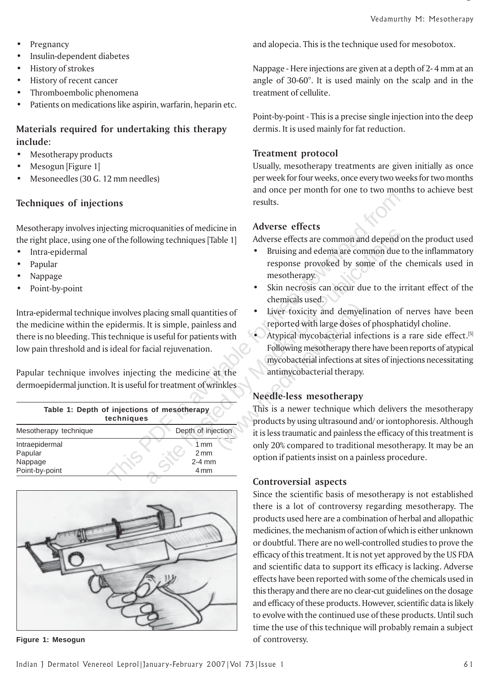- Pregnancy
- Insulin-dependent diabetes
- **History of strokes**
- History of recent cancer
- Thromboembolic phenomena
- Patients on medications like aspirin, warfarin, heparin etc.

# Materials required for undertaking this therapy include:

- Mesotherapy products
- Mesogun [Figure 1]
- Mesoneedles (30 G. 12 mm needles)

# Techniques of injections results.

Mesotherapy involves injecting microquanities of medicine in Adverse effects the right place, using one of the following techniques [Table 1] Adverse effects are common and depend on the product used

- Intra-epidermal
- Papular
- Nappage
- Point-by-point

the medicine within the epidermis. It is simple, painless and reported with large doses of phosphatidyl choline. there is no bleeding. This technique is useful for patients with **•** Atypical mycobacterial infections is a rare side effect.<sup>[5]</sup> low pain threshold and is ideal for facial rejuvenation. Following mesotherapy there have been reports of atypical

| Techniques of injections                                                                                                                                                                                                                                                                                                                                                                                                                                                                                                                                                                                                                                                                  | results.                                                                                                                                                                                                                                                                                                                                                                                                                                                                                                                            |
|-------------------------------------------------------------------------------------------------------------------------------------------------------------------------------------------------------------------------------------------------------------------------------------------------------------------------------------------------------------------------------------------------------------------------------------------------------------------------------------------------------------------------------------------------------------------------------------------------------------------------------------------------------------------------------------------|-------------------------------------------------------------------------------------------------------------------------------------------------------------------------------------------------------------------------------------------------------------------------------------------------------------------------------------------------------------------------------------------------------------------------------------------------------------------------------------------------------------------------------------|
| Mesotherapy involves injecting microquanities of medicine in<br>the right place, using one of the following techniques [Table 1]<br>Intra-epidermal<br>٠<br>Papular<br>$\bullet$<br>Nappage<br>$\bullet$<br>Point-by-point<br>Intra-epidermal technique involves placing small quantities of<br>the medicine within the epidermis. It is simple, painless and<br>there is no bleeding. This technique is useful for patients with<br>low pain threshold and is ideal for facial rejuvenation.<br>Papular technique involves injecting the medicine at the<br>dermoepidermal junction. It is useful for treatment of wrinkles<br>Table 1: Depth of injections of mesotherapy<br>techniques | <b>Adverse effects</b><br>Adverse effects are common and depend<br>Bruising and edema are common due<br>response provoked by some of the<br>mesotherapy.<br>Skin necrosis can occur due to the i<br>chemicals used.<br>Liver toxicity and demyelination of<br>reported with large doses of phospha<br>Atypical mycobacterial infections is<br>Following mesotherapy there have bee<br>mycobacterial infections at sites of injo<br>antimycobacterial therapy.<br>Needle-less mesotherapy<br>This is a newer technique which deliver |
| Depth of injection<br>Mesotherapy technique                                                                                                                                                                                                                                                                                                                                                                                                                                                                                                                                                                                                                                               | products by using ultrasound and/or iont<br>it is less traumatic and painless the efficac                                                                                                                                                                                                                                                                                                                                                                                                                                           |
| Intraepidermal<br>1 mm<br>Papular<br>2mm<br>$2-4$ mm<br>Nappage<br>Point-by-point<br>4 mm                                                                                                                                                                                                                                                                                                                                                                                                                                                                                                                                                                                                 | only 20% compared to traditional mesotl<br>option if patients insist on a painless prod<br>Controversial aspects                                                                                                                                                                                                                                                                                                                                                                                                                    |
|                                                                                                                                                                                                                                                                                                                                                                                                                                                                                                                                                                                                                                                                                           |                                                                                                                                                                                                                                                                                                                                                                                                                                                                                                                                     |



**Figure 1: Mesogun Controversy. Controversy.** 

and alopecia. This is the technique used for mesobotox.

Nappage - Here injections are given at a depth of 2- 4 mm at an angle of 30-60°. It is used mainly on the scalp and in the treatment of cellulite.

Point-by-point - This is a precise single injection into the deep dermis. It is used mainly for fat reduction.

### Treatment protocol

Usually, mesotherapy treatments are given initially as once per week for four weeks, once every two weeks for two months and once per month for one to two months to achieve best

- Bruising and edema are common due to the inflammatory response provoked by some of the chemicals used in mesotherapy.
- Skin necrosis can occur due to the irritant effect of the chemicals used.
- Intra-epidermal technique involves placing small quantities of Liver toxicity and demyelination of nerves have been
	- mycobacterial infections at sites of injections necessitating

# Needle-less mesotherapy

by since the methanics of methanics of the methanics of the methanics of the methanics and depend of the mesotherapy.<br>
Skin necrosis can occur due to the information of the mesotherapy.<br>
Dacing small quantities of the the ties of <br>
Liver toxicity and demyeling<br>
ss and <br>
reported with large doses of<br>
s with Atypical mycobacterial infect<br>
Following mesotherapy there<br>
mycobacterial infections at sit<br>
antimycobacterial therapy.<br>
This is a newer This is a newer technique which delivers the mesotherapy products by using ultrasound and/ or iontophoresis. Although it is less traumatic and painless the efficacy of this treatment is only 20% compared to traditional mesotherapy. It may be an option if patients insist on a painless procedure.

## Controversial aspects

Since the scientific basis of mesotherapy is not established there is a lot of controversy regarding mesotherapy. The products used here are a combination of herbal and allopathic medicines, the mechanism of action of which is either unknown or doubtful. There are no well-controlled studies to prove the efficacy of this treatment. It is not yet approved by the US FDA and scientific data to support its efficacy is lacking. Adverse effects have been reported with some of the chemicals used in this therapy and there are no clear-cut guidelines on the dosage and efficacy of these products. However, scientific data is likely to evolve with the continued use of these products. Until such time the use of this technique will probably remain a subject